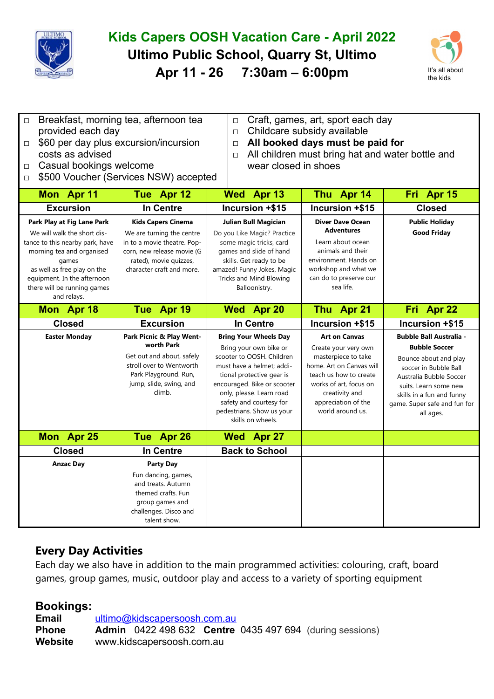

## **Kids Capers OOSH Vacation Care - April 2022 Ultimo Public School, Quarry St, Ultimo Apr 11 - 26 7:30am – 6:00pm** It's all about



- □ Breakfast, morning tea, afternoon tea provided each day □ \$60 per day plus excursion/incursion
- □ Craft, games, art, sport each day
- □ Childcare subsidy available

wear closed in shoes

□ **All booked days must be paid for**

□ All children must bring hat and water bottle and

- costs as advised
- □ Casual bookings welcome
- □ \$500 Voucher (Services NSW) accepted

| Mon Apr 11                                                                                                                                                                                                                                     | Tue Apr 12                                                                                                                                                                 | Wed Apr 13                                                                                                                                                                                                                                                                            | Thu Apr 14                                                                                                                                                                                                       | Fri Apr 15                                                                                                                                                                                                                             |
|------------------------------------------------------------------------------------------------------------------------------------------------------------------------------------------------------------------------------------------------|----------------------------------------------------------------------------------------------------------------------------------------------------------------------------|---------------------------------------------------------------------------------------------------------------------------------------------------------------------------------------------------------------------------------------------------------------------------------------|------------------------------------------------------------------------------------------------------------------------------------------------------------------------------------------------------------------|----------------------------------------------------------------------------------------------------------------------------------------------------------------------------------------------------------------------------------------|
| <b>Excursion</b>                                                                                                                                                                                                                               | <b>In Centre</b>                                                                                                                                                           | Incursion +\$15                                                                                                                                                                                                                                                                       | Incursion +\$15                                                                                                                                                                                                  | <b>Closed</b>                                                                                                                                                                                                                          |
| Park Play at Fig Lane Park<br>We will walk the short dis-<br>tance to this nearby park, have<br>morning tea and organised<br>games<br>as well as free play on the<br>equipment. In the afternoon<br>there will be running games<br>and relays. | <b>Kids Capers Cinema</b><br>We are turning the centre<br>in to a movie theatre. Pop-<br>corn, new release movie (G<br>rated), movie quizzes,<br>character craft and more. | <b>Julian Bull Magician</b><br>Do you Like Magic? Practice<br>some magic tricks, card<br>games and slide of hand<br>skills. Get ready to be<br>amazed! Funny Jokes, Magic<br>Tricks and Mind Blowing<br>Balloonistry.                                                                 | <b>Diver Dave Ocean</b><br><b>Adventures</b><br>Learn about ocean<br>animals and their<br>environment. Hands on<br>workshop and what we<br>can do to preserve our<br>sea life.                                   | <b>Public Holiday</b><br><b>Good Friday</b>                                                                                                                                                                                            |
| Mon Apr 18                                                                                                                                                                                                                                     | Tue Apr 19                                                                                                                                                                 | Wed Apr 20                                                                                                                                                                                                                                                                            | Thu Apr 21                                                                                                                                                                                                       | Fri Apr 22                                                                                                                                                                                                                             |
| <b>Closed</b>                                                                                                                                                                                                                                  | <b>Excursion</b>                                                                                                                                                           | <b>In Centre</b>                                                                                                                                                                                                                                                                      | Incursion +\$15                                                                                                                                                                                                  | Incursion +\$15                                                                                                                                                                                                                        |
| <b>Easter Monday</b>                                                                                                                                                                                                                           | Park Picnic & Play Went-<br>worth Park<br>Get out and about, safely<br>stroll over to Wentworth<br>Park Playground. Run,<br>jump, slide, swing, and<br>climb.              | <b>Bring Your Wheels Day</b><br>Bring your own bike or<br>scooter to OOSH. Children<br>must have a helmet; addi-<br>tional protective gear is<br>encouraged. Bike or scooter<br>only, please. Learn road<br>safety and courtesy for<br>pedestrians. Show us your<br>skills on wheels. | <b>Art on Canvas</b><br>Create your very own<br>masterpiece to take<br>home. Art on Canvas will<br>teach us how to create<br>works of art, focus on<br>creativity and<br>appreciation of the<br>world around us. | <b>Bubble Ball Australia -</b><br><b>Bubble Soccer</b><br>Bounce about and play<br>soccer in Bubble Ball<br>Australia Bubble Soccer<br>suits. Learn some new<br>skills in a fun and funny<br>game. Super safe and fun for<br>all ages. |
| Mon Apr 25                                                                                                                                                                                                                                     | Tue Apr 26                                                                                                                                                                 | Wed Apr 27                                                                                                                                                                                                                                                                            |                                                                                                                                                                                                                  |                                                                                                                                                                                                                                        |
| <b>Closed</b>                                                                                                                                                                                                                                  | In Centre                                                                                                                                                                  | <b>Back to School</b>                                                                                                                                                                                                                                                                 |                                                                                                                                                                                                                  |                                                                                                                                                                                                                                        |
| <b>Anzac Day</b>                                                                                                                                                                                                                               | Party Day<br>Fun dancing, games,<br>and treats. Autumn<br>themed crafts. Fun<br>group games and<br>challenges. Disco and<br>talent show.                                   |                                                                                                                                                                                                                                                                                       |                                                                                                                                                                                                                  |                                                                                                                                                                                                                                        |

## **Every Day Activities**

Each day we also have in addition to the main programmed activities: colouring, craft, board games, group games, music, outdoor play and access to a variety of sporting equipment

## **Bookings:**

**Email** [ultimo@kidscapersoosh.com.au](mailto:dulwich@kidscapersoosh.com.au) **Phone Admin** 0422 498 632 **Centre** 0435 497 694 (during sessions) **Website** www.kidscapersoosh.com.au